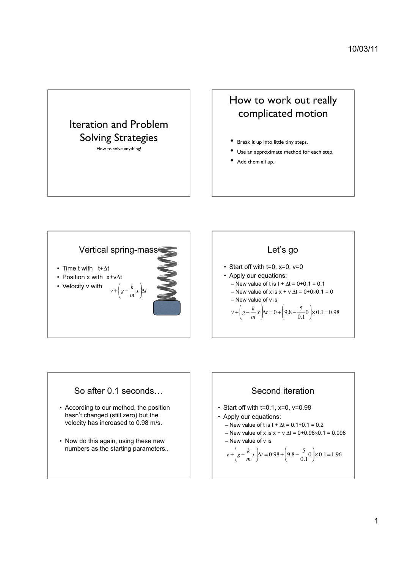# Iteration and Problem Solving Strategies

How to solve anything!

## How to work out really complicated motion

- Break it up into little tiny steps.
- Use an approximate method for each step.
- Add them all up.



#### Let's go

- Start off with t=0, x=0, v=0
- Apply our equations: – New value of t is  $t + \Delta t = 0 + 0.1 = 0.1$ 
	- New value of x is  $x + v \Delta t = 0 + 0 \times 0.1 = 0$ – New value of v is

$$
v + \left(g - \frac{k}{m}x\right) \Delta t = 0 + \left(9.8 - \frac{5}{0.1}0\right) \times 0.1 = 0.98
$$



- According to our method, the position hasn't changed (still zero) but the velocity has increased to 0.98 m/s.
- Now do this again, using these new numbers as the starting parameters..

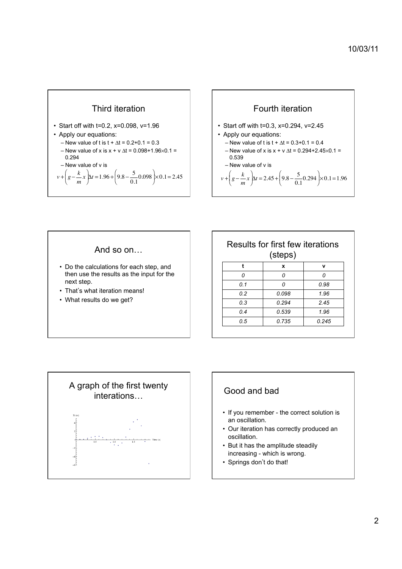

- Start off with t=0.2, x=0.098, v=1.96
- Apply our equations:
	- New value of t is  $t + \Delta t = 0.2 + 0.1 = 0.3$
	- New value of x is x + v  $\Delta t$  = 0.098+1.96 $\times$ 0.1 =
	- 0.294 is

$$
v + \left(g - \frac{k}{m}x\right) \Delta t = 1.96 + \left(9.8 - \frac{5}{0.1}0.098\right) \times 0.1 = 2.45
$$





| Results for first few iterations<br>(steps) |       |       |
|---------------------------------------------|-------|-------|
| t                                           | x     | v     |
| n                                           |       | n     |
| 0.1                                         |       | 0.98  |
| 02                                          | 0.098 | 1.96  |
| 0.3                                         | 0.294 | 2.45  |
| 04                                          | 0.539 | 1.96  |
| 0.5                                         | 0.735 | 0.245 |





- If you remember the correct solution is an oscillation.
- Our iteration has correctly produced an oscillation.
- But it has the amplitude steadily increasing - which is wrong.
- Springs don't do that!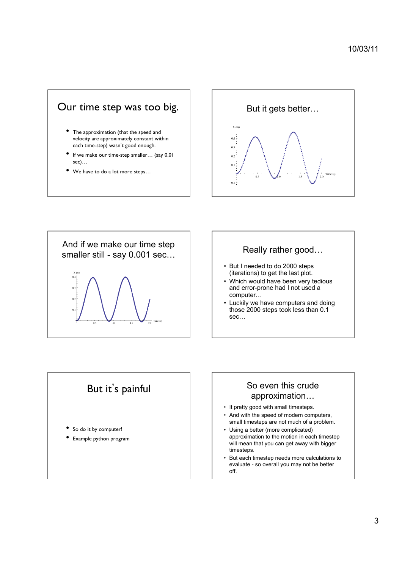## Our time step was too big.

- The approximation (that the speed and velocity are approximately constant within each time-step) wasn't good enough.
- If we make our time-step smaller… (say 0.01 sec)…
- We have to do a lot more steps...





- But I needed to do 2000 steps (iterations) to get the last plot.
- Which would have been very tedious and error-prone had I not used a computer…
- Luckily we have computers and doing those 2000 steps took less than 0.1 sec…



#### So even this crude approximation…

- It pretty good with small timesteps.
- And with the speed of modern computers, small timesteps are not much of a problem.
- Using a better (more complicated) approximation to the motion in each timestep will mean that you can get away with bigger timesteps.
- But each timestep needs more calculations to evaluate - so overall you may not be better off.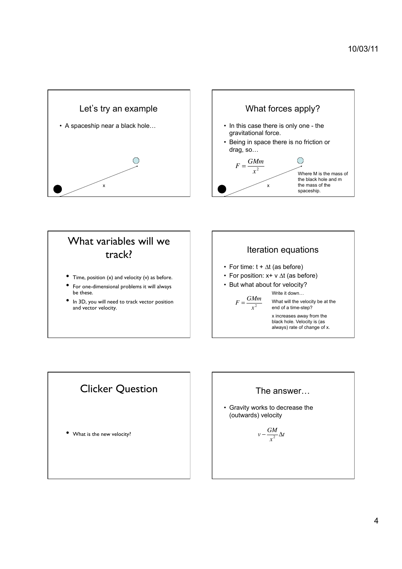



# What variables will we track?

- Time, position (x) and velocity (v) as before.
- For one-dimensional problems it will always be these.
- In 3D, you will need to track vector position and vector velocity.





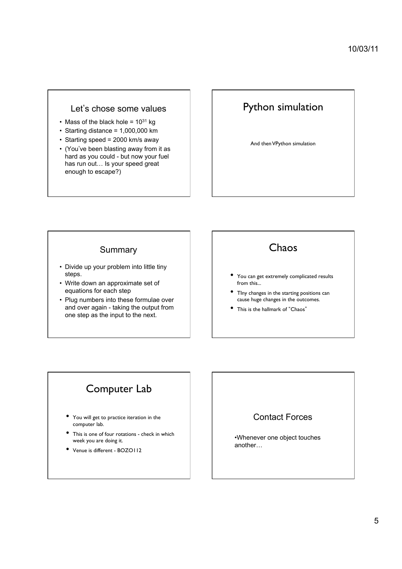#### Let's chose some values

- Mass of the black hole =  $10^{31}$  kg
- Starting distance = 1,000,000 km
- Starting speed = 2000 km/s away
- (You've been blasting away from it as hard as you could - but now your fuel has run out… Is your speed great enough to escape?)

## Python simulation

And then VPython simulation

#### **Summary**

- Divide up your problem into little tiny steps.
- Write down an approximate set of equations for each step
- Plug numbers into these formulae over and over again - taking the output from one step as the input to the next.

## Chaos

- You can get extremely complicated results from this...
- TIny changes in the starting positions can cause huge changes in the outcomes.
- This is the hallmark of "Chaos"

# Computer Lab

- You will get to practice iteration in the computer lab.
- This is one of four rotations check in which week you are doing it.
- Venue is different BOZO112

## Contact Forces

•Whenever one object touches another…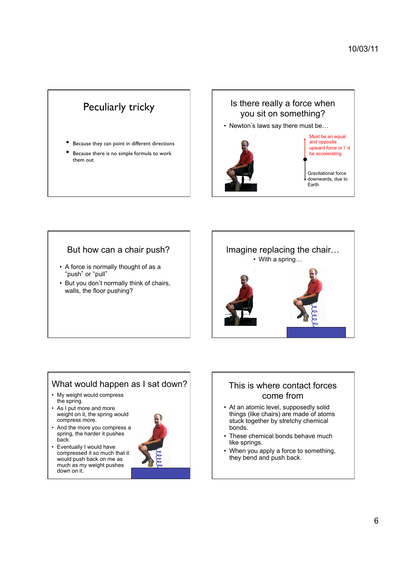# Peculiarly tricky

- Because they can point in different directions
- Because there is no simple formula to work them out

#### Is there really a force when you sit on something?

• Newton's laws say there must be…



#### But how can a chair push?

- A force is normally thought of as a "push" or "pull"
- But you don't normally think of chairs, walls, the floor pushing?



### What would happen as I sat down?

- My weight would compress the spring.
- As I put more and more weight on it, the spring would compress more.
- And the more you compress a spring, the harder it pushes back.
- Eventually I would have compressed it so much that it would push back on me as much as my weight pushes down on it.



#### This is where contact forces come from

- At an atomic level, supposedly solid things (like chairs) are made of atoms stuck together by stretchy chemical bonds.
- These chemical bonds behave much like springs.
- When you apply a force to something, they bend and push back.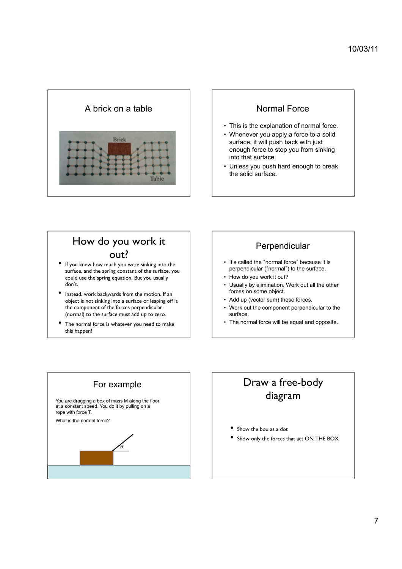

- This is the explanation of normal force.
- Whenever you apply a force to a solid surface, it will push back with just enough force to stop you from sinking into that surface.
- Unless you push hard enough to break the solid surface.

# How do you work it **OUT?** • If you knew how much you were sinking into the

- surface, and the spring constant of the surface, you could use the spring equation. But you usually don't.
- Instead, work backwards from the motion. If an object is not sinking into a surface or leaping off it, the component of the forces perpendicular (normal) to the surface must add up to zero.
- The normal force is whatever you need to make this happen!

#### Perpendicular

- It's called the "normal force" because it is perpendicular ("normal") to the surface.
- How do you work it out?
- Usually by elimination. Work out all the other forces on some object.
- Add up (vector sum) these forces.
- Work out the component perpendicular to the surface.
- The normal force will be equal and opposite.